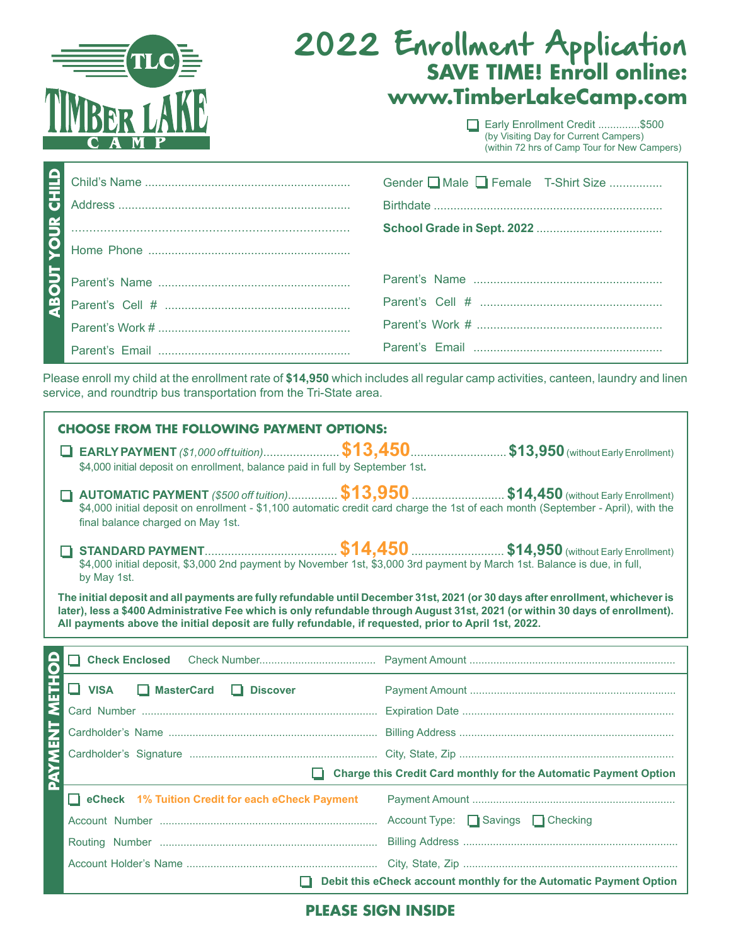

# 2022 Enrollment Application **SAVE TIME! Enroll online: www.TimberLakeCamp.com**

Early Enrollment Credit ..............\$500 (by Visiting Day for Current Campers) (within 72 hrs of Camp Tour for New Campers)

|                                  | Gender ■ Male ■ Female T-Shirt Size |
|----------------------------------|-------------------------------------|
|                                  |                                     |
| $\sum_{n=1}^{\infty}$ Home Phone |                                     |
|                                  |                                     |
|                                  |                                     |
|                                  |                                     |
|                                  |                                     |

Please enroll my child at the enrollment rate of **\$14,950** which includes all regular camp activities, canteen, laundry and linen service, and roundtrip bus transportation from the Tri-State area.

| <b>CHOOSE FROM THE FOLLOWING PAYMENT OPTIONS:</b>                                                                                                                                                                                                                                                                                                                       |                                                                                                                                                                                                                               |  |  |  |
|-------------------------------------------------------------------------------------------------------------------------------------------------------------------------------------------------------------------------------------------------------------------------------------------------------------------------------------------------------------------------|-------------------------------------------------------------------------------------------------------------------------------------------------------------------------------------------------------------------------------|--|--|--|
| \$4,000 initial deposit on enrollment, balance paid in full by September 1st.                                                                                                                                                                                                                                                                                           |                                                                                                                                                                                                                               |  |  |  |
| final balance charged on May 1st.                                                                                                                                                                                                                                                                                                                                       | <b>AUTOMATIC PAYMENT</b> (\$500 off tuition) \$13,950 \$14,450 (without Early Enrollment)<br>\$4,000 initial deposit on enrollment - \$1,100 automatic credit card charge the 1st of each month (September - April), with the |  |  |  |
| \$4,000 initial deposit, \$3,000 2nd payment by November 1st, \$3,000 3rd payment by March 1st. Balance is due, in full,<br>by May 1st.                                                                                                                                                                                                                                 |                                                                                                                                                                                                                               |  |  |  |
| The initial deposit and all payments are fully refundable until December 31st, 2021 (or 30 days after enrollment, whichever is<br>later), less a \$400 Administrative Fee which is only refundable through August 31st, 2021 (or within 30 days of enrollment).<br>All payments above the initial deposit are fully refundable, if requested, prior to April 1st, 2022. |                                                                                                                                                                                                                               |  |  |  |
|                                                                                                                                                                                                                                                                                                                                                                         |                                                                                                                                                                                                                               |  |  |  |
| VISA MasterCard Discover                                                                                                                                                                                                                                                                                                                                                |                                                                                                                                                                                                                               |  |  |  |
|                                                                                                                                                                                                                                                                                                                                                                         |                                                                                                                                                                                                                               |  |  |  |
|                                                                                                                                                                                                                                                                                                                                                                         |                                                                                                                                                                                                                               |  |  |  |
| PAYMENT                                                                                                                                                                                                                                                                                                                                                                 |                                                                                                                                                                                                                               |  |  |  |
| Charge this Credit Card monthly for the Automatic Payment Option                                                                                                                                                                                                                                                                                                        |                                                                                                                                                                                                                               |  |  |  |
| $\blacksquare$ eCheck $\blacksquare$ 1% Tuition Credit for each eCheck Payment                                                                                                                                                                                                                                                                                          | <b>Payment Amount</b>                                                                                                                                                                                                         |  |  |  |

|  | Debit this eCheck account monthly for the Automatic Payment Option |
|--|--------------------------------------------------------------------|

#### **PLEASE SIGN INSIDE**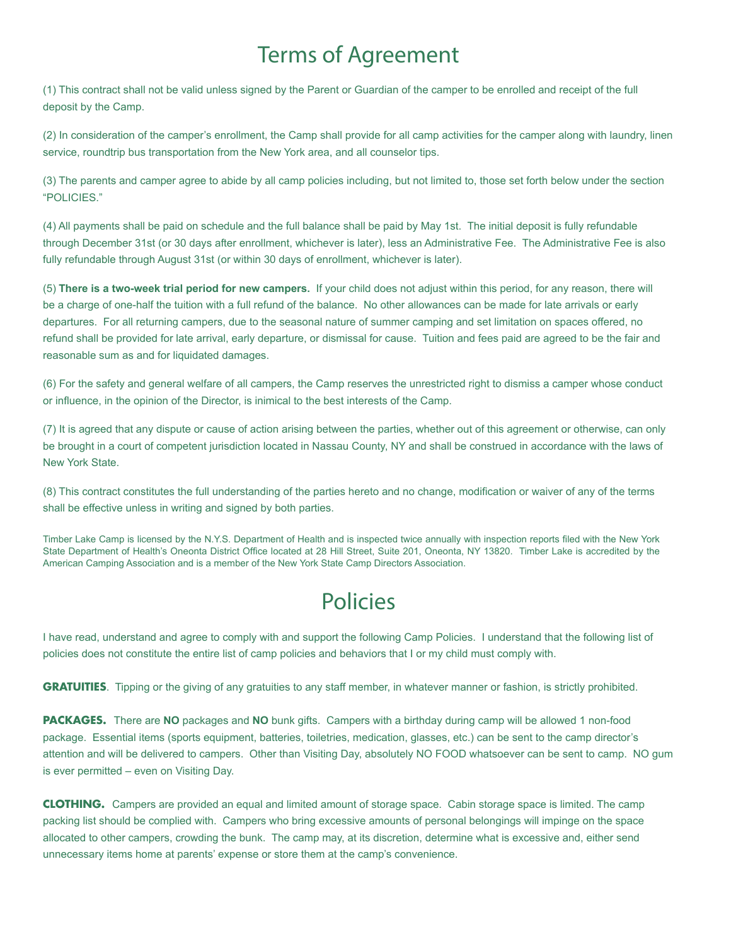## Terms of Agreement

(1) This contract shall not be valid unless signed by the Parent or Guardian of the camper to be enrolled and receipt of the full deposit by the Camp.

(2) In consideration of the camper's enrollment, the Camp shall provide for all camp activities for the camper along with laundry, linen service, roundtrip bus transportation from the New York area, and all counselor tips.

(3) The parents and camper agree to abide by all camp policies including, but not limited to, those set forth below under the section "POLICIES."

(4) All payments shall be paid on schedule and the full balance shall be paid by May 1st. The initial deposit is fully refundable through December 31st (or 30 days after enrollment, whichever is later), less an Administrative Fee. The Administrative Fee is also fully refundable through August 31st (or within 30 days of enrollment, whichever is later).

(5) **There is a two-week trial period for new campers.** If your child does not adjust within this period, for any reason, there will be a charge of one-half the tuition with a full refund of the balance. No other allowances can be made for late arrivals or early departures. For all returning campers, due to the seasonal nature of summer camping and set limitation on spaces offered, no refund shall be provided for late arrival, early departure, or dismissal for cause. Tuition and fees paid are agreed to be the fair and reasonable sum as and for liquidated damages.

(6) For the safety and general welfare of all campers, the Camp reserves the unrestricted right to dismiss a camper whose conduct or influence, in the opinion of the Director, is inimical to the best interests of the Camp.

(7) It is agreed that any dispute or cause of action arising between the parties, whether out of this agreement or otherwise, can only be brought in a court of competent jurisdiction located in Nassau County, NY and shall be construed in accordance with the laws of New York State.

(8) This contract constitutes the full understanding of the parties hereto and no change, modification or waiver of any of the terms shall be effective unless in writing and signed by both parties.

Timber Lake Camp is licensed by the N.Y.S. Department of Health and is inspected twice annually with inspection reports filed with the New York State Department of Health's Oneonta District Office located at 28 Hill Street, Suite 201, Oneonta, NY 13820. Timber Lake is accredited by the American Camping Association and is a member of the New York State Camp Directors Association.

## Policies

I have read, understand and agree to comply with and support the following Camp Policies. I understand that the following list of policies does not constitute the entire list of camp policies and behaviors that I or my child must comply with.

**GRATUITIES**. Tipping or the giving of any gratuities to any staff member, in whatever manner or fashion, is strictly prohibited.

**PACKAGES.** There are **NO** packages and **NO** bunk gifts. Campers with a birthday during camp will be allowed 1 non-food package. Essential items (sports equipment, batteries, toiletries, medication, glasses, etc.) can be sent to the camp director's attention and will be delivered to campers. Other than Visiting Day, absolutely NO FOOD whatsoever can be sent to camp. NO gum is ever permitted – even on Visiting Day.

**CLOTHING.** Campers are provided an equal and limited amount of storage space. Cabin storage space is limited. The camp packing list should be complied with. Campers who bring excessive amounts of personal belongings will impinge on the space allocated to other campers, crowding the bunk. The camp may, at its discretion, determine what is excessive and, either send unnecessary items home at parents' expense or store them at the camp's convenience.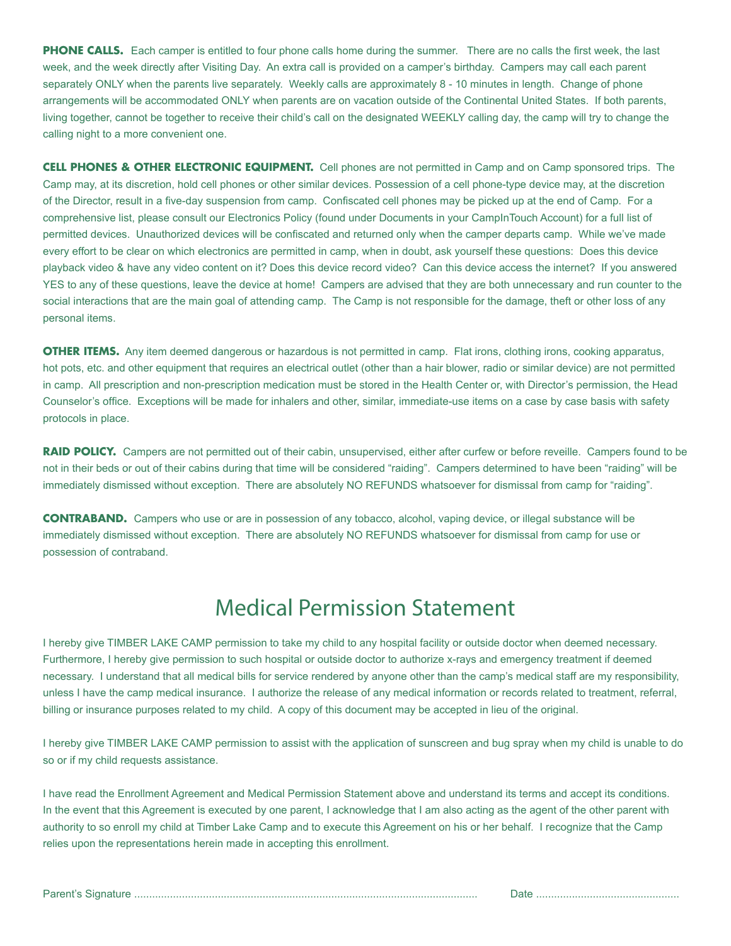**PHONE CALLS.** Each camper is entitled to four phone calls home during the summer. There are no calls the first week, the last week, and the week directly after Visiting Day. An extra call is provided on a camper's birthday. Campers may call each parent separately ONLY when the parents live separately. Weekly calls are approximately 8 - 10 minutes in length. Change of phone arrangements will be accommodated ONLY when parents are on vacation outside of the Continental United States. If both parents, living together, cannot be together to receive their child's call on the designated WEEKLY calling day, the camp will try to change the calling night to a more convenient one.

**CELL PHONES & OTHER ELECTRONIC EQUIPMENT.** Cell phones are not permitted in Camp and on Camp sponsored trips. The Camp may, at its discretion, hold cell phones or other similar devices. Possession of a cell phone-type device may, at the discretion of the Director, result in a five-day suspension from camp. Confiscated cell phones may be picked up at the end of Camp. For a comprehensive list, please consult our Electronics Policy (found under Documents in your CampInTouch Account) for a full list of permitted devices. Unauthorized devices will be confiscated and returned only when the camper departs camp. While we've made every effort to be clear on which electronics are permitted in camp, when in doubt, ask yourself these questions: Does this device playback video & have any video content on it? Does this device record video? Can this device access the internet? If you answered YES to any of these questions, leave the device at home! Campers are advised that they are both unnecessary and run counter to the social interactions that are the main goal of attending camp. The Camp is not responsible for the damage, theft or other loss of any personal items.

**OTHER ITEMS.** Any item deemed dangerous or hazardous is not permitted in camp. Flat irons, clothing irons, cooking apparatus, hot pots, etc. and other equipment that requires an electrical outlet (other than a hair blower, radio or similar device) are not permitted in camp. All prescription and non-prescription medication must be stored in the Health Center or, with Director's permission, the Head Counselor's office. Exceptions will be made for inhalers and other, similar, immediate-use items on a case by case basis with safety protocols in place.

**RAID POLICY.** Campers are not permitted out of their cabin, unsupervised, either after curfew or before reveille. Campers found to be not in their beds or out of their cabins during that time will be considered "raiding". Campers determined to have been "raiding" will be immediately dismissed without exception. There are absolutely NO REFUNDS whatsoever for dismissal from camp for "raiding".

**CONTRABAND.** Campers who use or are in possession of any tobacco, alcohol, vaping device, or illegal substance will be immediately dismissed without exception. There are absolutely NO REFUNDS whatsoever for dismissal from camp for use or possession of contraband.

### Medical Permission Statement

I hereby give TIMBER LAKE CAMP permission to take my child to any hospital facility or outside doctor when deemed necessary. Furthermore, I hereby give permission to such hospital or outside doctor to authorize x-rays and emergency treatment if deemed necessary. I understand that all medical bills for service rendered by anyone other than the camp's medical staff are my responsibility, unless I have the camp medical insurance. I authorize the release of any medical information or records related to treatment, referral, billing or insurance purposes related to my child. A copy of this document may be accepted in lieu of the original.

I hereby give TIMBER LAKE CAMP permission to assist with the application of sunscreen and bug spray when my child is unable to do so or if my child requests assistance.

I have read the Enrollment Agreement and Medical Permission Statement above and understand its terms and accept its conditions. In the event that this Agreement is executed by one parent, I acknowledge that I am also acting as the agent of the other parent with authority to so enroll my child at Timber Lake Camp and to execute this Agreement on his or her behalf. I recognize that the Camp relies upon the representations herein made in accepting this enrollment.

Parent's Signature ................................................................................................................... Date ................................................